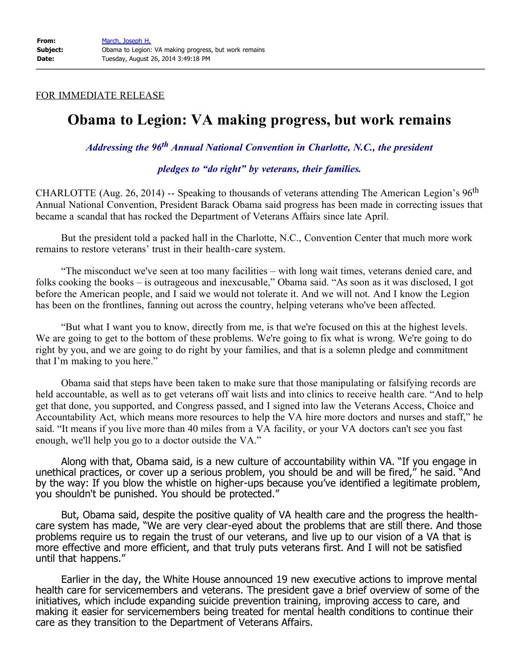## FOR IMMEDIATE RELEASE

## **Obama to Legion: VA making progress, but work remains**

*Addressing the 96th Annual National Convention in Charlotte, N.C., the president*

## *pledges to "do right" by veterans, their families.*

CHARLOTTE (Aug. 26, 2014) -- Speaking to thousands of veterans attending The American Legion's 96<sup>th</sup> Annual National Convention, President Barack Obama said progress has been made in correcting issues that became a scandal that has rocked the Department of Veterans Affairs since late April.

 But the president told a packed hall in the Charlotte, N.C., Convention Center that much more work remains to restore veterans' trust in their health-care system.

 "The misconduct we've seen at too many facilities – with long wait times, veterans denied care, and folks cooking the books – is outrageous and inexcusable," Obama said. "As soon as it was disclosed, I got before the American people, and I said we would not tolerate it. And we will not. And I know the Legion has been on the frontlines, fanning out across the country, helping veterans who've been affected.

 "But what I want you to know, directly from me, is that we're focused on this at the highest levels. We are going to get to the bottom of these problems. We're going to fix what is wrong. We're going to do right by you, and we are going to do right by your families, and that is a solemn pledge and commitment that I'm making to you here."

 Obama said that steps have been taken to make sure that those manipulating or falsifying records are held accountable, as well as to get veterans off wait lists and into clinics to receive health care. "And to help get that done, you supported, and Congress passed, and I signed into law the Veterans Access, Choice and Accountability Act, which means more resources to help the VA hire more doctors and nurses and staff," he said. "It means if you live more than 40 miles from a VA facility, or your VA doctors can't see you fast enough, we'll help you go to a doctor outside the VA."

 Along with that, Obama said, is a new culture of accountability within VA. "If you engage in unethical practices, or cover up a serious problem, you should be and will be fired," he said. "And by the way: If you blow the whistle on higher-ups because you've identified a legitimate problem, you shouldn't be punished. You should be protected."

 But, Obama said, despite the positive quality of VA health care and the progress the healthcare system has made, "We are very clear-eyed about the problems that are still there. And those problems require us to regain the trust of our veterans, and live up to our vision of a VA that is more effective and more efficient, and that truly puts veterans first. And I will not be satisfied until that happens."

 Earlier in the day, the White House announced 19 new executive actions to improve mental health care for servicemembers and veterans. The president gave a brief overview of some of the initiatives, which include expanding suicide prevention training, improving access to care, and making it easier for servicemembers being treated for mental health conditions to continue their care as they transition to the Department of Veterans Affairs.